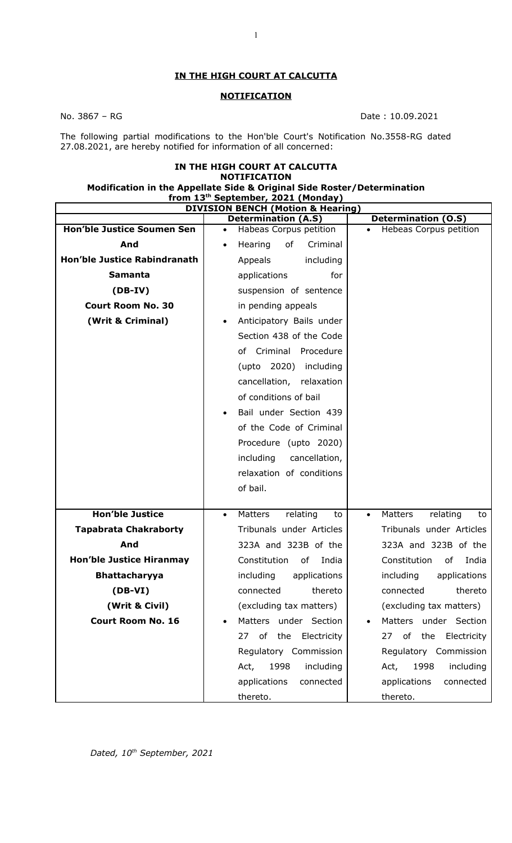## **IN THE HIGH COURT AT CALCUTTA**

## **NOTIFICATION**

No. 3867 – RG Date : 10.09.2021

The following partial modifications to the Hon'ble Court's Notification No.3558-RG dated 27.08.2021, are hereby notified for information of all concerned:

## **IN THE HIGH COURT AT CALCUTTA NOTIFICATION**

## **Modification in the Appellate Side & Original Side Roster/Determination from 13th September, 2021 (Monday)**

| <b>DIVISION BENCH (Motion &amp; Hearing)</b> |                                        |                                        |
|----------------------------------------------|----------------------------------------|----------------------------------------|
|                                              | <b>Determination (A.S)</b>             | <b>Determination (O.S)</b>             |
| <b>Hon'ble Justice Soumen Sen</b>            | Habeas Corpus petition<br>$\bullet$    | Hebeas Corpus petition                 |
| And                                          | of<br>Hearing<br>Criminal<br>$\bullet$ |                                        |
| <b>Hon'ble Justice Rabindranath</b>          | including<br>Appeals                   |                                        |
| <b>Samanta</b>                               | for<br>applications                    |                                        |
| $(DB-IV)$                                    | suspension of sentence                 |                                        |
| <b>Court Room No. 30</b>                     | in pending appeals                     |                                        |
| (Writ & Criminal)                            | Anticipatory Bails under<br>$\bullet$  |                                        |
|                                              | Section 438 of the Code                |                                        |
|                                              | of Criminal Procedure                  |                                        |
|                                              | (upto 2020) including                  |                                        |
|                                              | cancellation, relaxation               |                                        |
|                                              | of conditions of bail                  |                                        |
|                                              | Bail under Section 439                 |                                        |
|                                              | of the Code of Criminal                |                                        |
|                                              | Procedure (upto 2020)                  |                                        |
|                                              | cancellation,<br>including             |                                        |
|                                              | relaxation of conditions               |                                        |
|                                              | of bail.                               |                                        |
|                                              |                                        |                                        |
| <b>Hon'ble Justice</b>                       | Matters<br>relating<br>to<br>$\bullet$ | Matters<br>relating<br>to<br>$\bullet$ |
| <b>Tapabrata Chakraborty</b>                 | Tribunals under Articles               | Tribunals under Articles               |
| And                                          | 323A and 323B of the                   | 323A and 323B of the                   |
| <b>Hon'ble Justice Hiranmay</b>              | Constitution<br>0f<br>India            | Constitution<br>of<br>India            |
| <b>Bhattacharyya</b>                         | including<br>applications              | including<br>applications              |
| $(DB-VI)$                                    | connected<br>thereto                   | thereto<br>connected                   |
| (Writ & Civil)                               | (excluding tax matters)                | (excluding tax matters)                |
| <b>Court Room No. 16</b>                     | Matters under Section                  | Matters under Section                  |
|                                              | of the Electricity<br>27               | of<br>the<br>Electricity<br>27         |
|                                              | Regulatory Commission                  | Regulatory Commission                  |
|                                              | including<br>1998<br>Act,              | including<br>1998<br>Act,              |
|                                              | connected<br>applications              | connected<br>applications              |
|                                              | thereto.                               | thereto.                               |